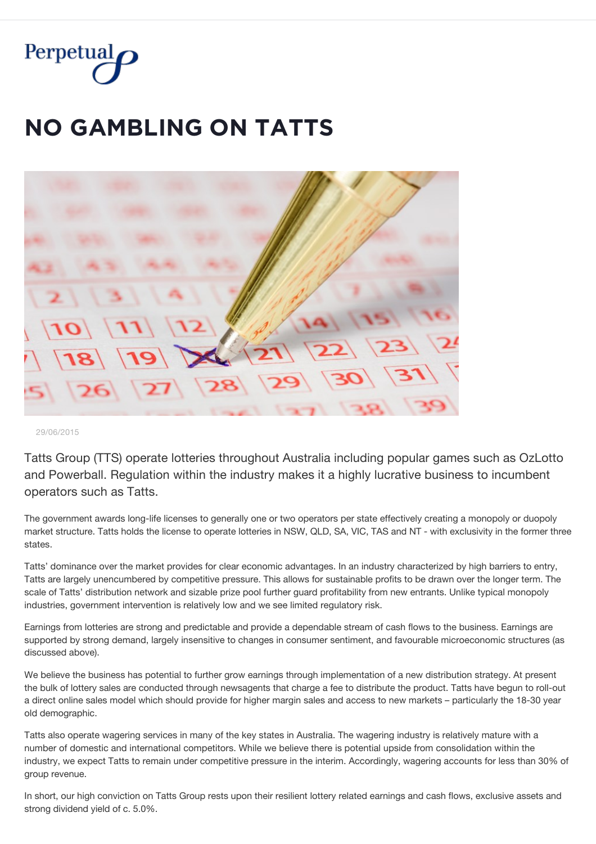

## **NO GAMBLING ON TATTS**



29/06/2015

Tatts Group (TTS) operate lotteries throughout Australia including popular games such as OzLotto and Powerball. Regulation within the industry makes it a highly lucrative business to incumbent operators such as Tatts.

The government awards long-life licenses to generally one or two operators per state effectively creating a monopoly or duopoly market structure. Tatts holds the license to operate lotteries in NSW, QLD, SA, VIC, TAS and NT - with exclusivity in the former three states.

Tatts' dominance over the market provides for clear economic advantages. In an industry characterized by high barriers to entry, Tatts are largely unencumbered by competitive pressure. This allows for sustainable profits to be drawn over the longer term. The scale of Tatts' distribution network and sizable prize pool further guard profitability from new entrants. Unlike typical monopoly industries, government intervention is relatively low and we see limited regulatory risk.

Earnings from lotteries are strong and predictable and provide a dependable stream of cash flows to the business. Earnings are supported by strong demand, largely insensitive to changes in consumer sentiment, and favourable microeconomic structures (as discussed above).

We believe the business has potential to further grow earnings through implementation of a new distribution strategy. At present the bulk of lottery sales are conducted through newsagents that charge a fee to distribute the product. Tatts have begun to roll-out a direct online sales model which should provide for higher margin sales and access to new markets – particularly the 18-30 year old demographic.

Tatts also operate wagering services in many of the key states in Australia. The wagering industry is relatively mature with a number of domestic and international competitors. While we believe there is potential upside from consolidation within the industry, we expect Tatts to remain under competitive pressure in the interim. Accordingly, wagering accounts for less than 30% of group revenue.

In short, our high conviction on Tatts Group rests upon their resilient lottery related earnings and cash flows, exclusive assets and strong dividend yield of c. 5.0%.